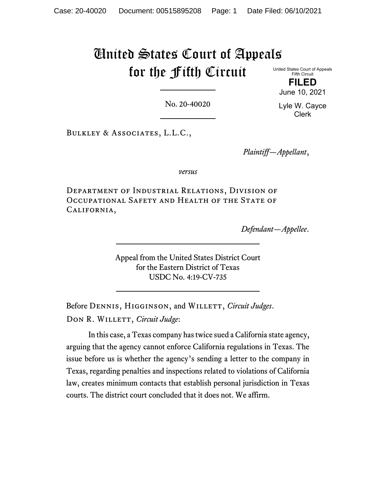# United States Court of Appeals for the Fifth Circuit

United States Court of Appeals Fifth Circuit

> **FILED** June 10, 2021

> Lyle W. Cayce Clerk

No. 20-40020

Bulkley & Associates, L.L.C.,

*Plaintiff—Appellant*,

*versus*

Department of Industrial Relations, Division of Occupational Safety and Health of the State of California,

*Defendant—Appellee*.

Appeal from the United States District Court for the Eastern District of Texas USDC No. 4:19-CV-735

Before DENNIS, HIGGINSON, and WILLETT, *Circuit Judges*. DON R. WILLETT, *Circuit Judge*:

In this case, a Texas company has twice sued a California state agency, arguing that the agency cannot enforce California regulations in Texas. The issue before us is whether the agency's sending a letter to the company in Texas, regarding penalties and inspections related to violations of California law, creates minimum contacts that establish personal jurisdiction in Texas courts. The district court concluded that it does not. We affirm.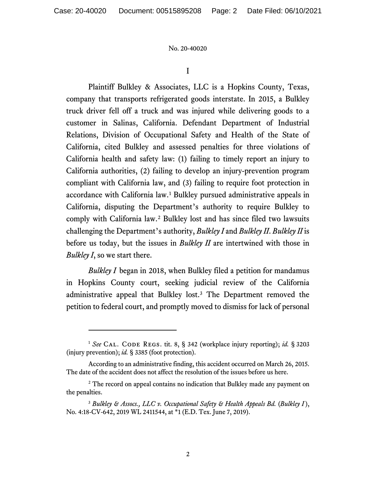I

Plaintiff Bulkley & Associates, LLC is a Hopkins County, Texas, company that transports refrigerated goods interstate. In 2015, a Bulkley truck driver fell off a truck and was injured while delivering goods to a customer in Salinas, California. Defendant Department of Industrial Relations, Division of Occupational Safety and Health of the State of California, cited Bulkley and assessed penalties for three violations of California health and safety law: (1) failing to timely report an injury to California authorities, (2) failing to develop an injury-prevention program compliant with California law, and (3) failing to require foot protection in accordance with California law.[1](#page-1-0) Bulkley pursued administrative appeals in California, disputing the Department's authority to require Bulkley to comply with California law.[2](#page-1-1) Bulkley lost and has since filed two lawsuits challenging the Department's authority, *Bulkley I* and *Bulkley II*. *Bulkley II* is before us today, but the issues in *Bulkley II* are intertwined with those in *Bulkley I*, so we start there.

*Bulkley I* began in 2018, when Bulkley filed a petition for mandamus in Hopkins County court, seeking judicial review of the California administrative appeal that Bulkley lost. [3](#page-1-2) The Department removed the petition to federal court, and promptly moved to dismiss for lack of personal

<span id="page-1-0"></span><sup>&</sup>lt;sup>1</sup> See CAL. CODE REGS. tit. 8, § 342 (workplace injury reporting); *id*. § 3203 (injury prevention); *id.* § 3385 (foot protection).

According to an administrative finding, this accident occurred on March 26, 2015. The date of the accident does not affect the resolution of the issues before us here.

<span id="page-1-1"></span><sup>&</sup>lt;sup>2</sup> The record on appeal contains no indication that Bulkley made any payment on the penalties.

<span id="page-1-2"></span><sup>&</sup>lt;sup>3</sup> Bulkley & Assocs., LLC v. Occupational Safety & Health Appeals Bd. (Bulkley I), No. 4:18-CV-642, 2019 WL 2411544, at \*1 (E.D. Tex. June 7, 2019).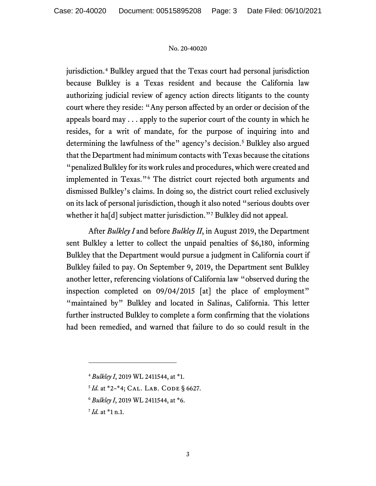jurisdiction.[4](#page-2-0) Bulkley argued that the Texas court had personal jurisdiction because Bulkley is a Texas resident and because the California law authorizing judicial review of agency action directs litigants to the county court where they reside: "Any person affected by an order or decision of the appeals board may . . . apply to the superior court of the county in which he resides, for a writ of mandate, for the purpose of inquiring into and determining the lawfulness of the" agency's decision.<sup>[5](#page-2-1)</sup> Bulkley also argued that the Department had minimum contacts with Texas because the citations "penalized Bulkley for its work rules and procedures, which were created and implemented in Texas."[6](#page-2-2) The district court rejected both arguments and dismissed Bulkley's claims. In doing so, the district court relied exclusively on its lack of personal jurisdiction, though it also noted "serious doubts over whether it ha<sup>[d]</sup> subject matter jurisdiction."<sup>[7](#page-2-3)</sup> Bulkley did not appeal.

After *Bulkley I* and before *Bulkley II*, in August 2019, the Department sent Bulkley a letter to collect the unpaid penalties of \$6,180, informing Bulkley that the Department would pursue a judgment in California court if Bulkley failed to pay. On September 9, 2019, the Department sent Bulkley another letter, referencing violations of California law "observed during the inspection completed on 09/04/2015 [at] the place of employment" "maintained by" Bulkley and located in Salinas, California. This letter further instructed Bulkley to complete a form confirming that the violations had been remedied, and warned that failure to do so could result in the

- <span id="page-2-1"></span><sup>5</sup> *Id.* at \*2-\*4; CAL. LAB. CODE § 6627.
- <span id="page-2-2"></span><sup>6</sup> *Bulkley I*, 2019 WL 2411544, at \*6.

<span id="page-2-3"></span><sup>7</sup> *Id.* at \*1 n.1.

<span id="page-2-0"></span><sup>4</sup> *Bulkley I*, 2019 WL 2411544, at \*1.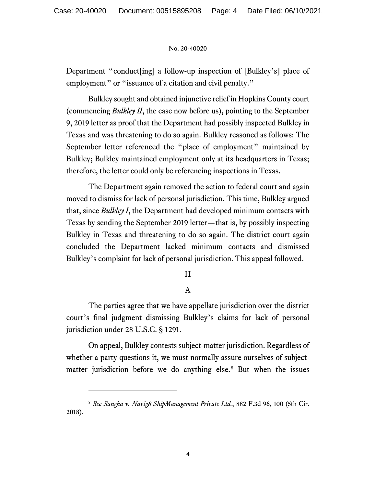Department "conduct[ing] a follow-up inspection of [Bulkley's] place of employment" or "issuance of a citation and civil penalty."

Bulkley sought and obtained injunctive relief in Hopkins County court (commencing *Bulkley II*, the case now before us), pointing to the September 9, 2019 letter as proof that the Department had possibly inspected Bulkley in Texas and was threatening to do so again. Bulkley reasoned as follows: The September letter referenced the "place of employment" maintained by Bulkley; Bulkley maintained employment only at its headquarters in Texas; therefore, the letter could only be referencing inspections in Texas.

The Department again removed the action to federal court and again moved to dismiss for lack of personal jurisdiction. This time, Bulkley argued that, since *Bulkley I*, the Department had developed minimum contacts with Texas by sending the September 2019 letter—that is, by possibly inspecting Bulkley in Texas and threatening to do so again. The district court again concluded the Department lacked minimum contacts and dismissed Bulkley's complaint for lack of personal jurisdiction. This appeal followed.

## II

## A

The parties agree that we have appellate jurisdiction over the district court's final judgment dismissing Bulkley's claims for lack of personal jurisdiction under 28 U.S.C. § 1291.

On appeal, Bulkley contests subject-matter jurisdiction. Regardless of whether a party questions it, we must normally assure ourselves of subjectmatter jurisdiction before we do anything else. [8](#page-3-0) But when the issues

<span id="page-3-0"></span><sup>8</sup> *See Sangha v. Navig8 ShipManagement Private Ltd.*, 882 F.3d 96, 100 (5th Cir. 2018).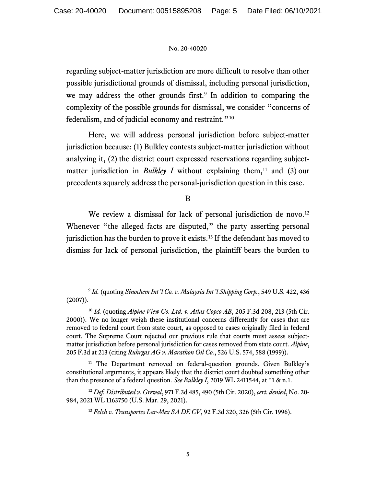regarding subject-matter jurisdiction are more difficult to resolve than other possible jurisdictional grounds of dismissal, including personal jurisdiction, we may address the other grounds first. [9](#page-4-0) In addition to comparing the complexity of the possible grounds for dismissal, we consider "concerns of federalism, and of judicial economy and restraint."<sup>[10](#page-4-1)</sup>

Here, we will address personal jurisdiction before subject-matter jurisdiction because: (1) Bulkley contests subject-matter jurisdiction without analyzing it, (2) the district court expressed reservations regarding subjectmatter jurisdiction in *Bulkley I* without explaining them,<sup>[11](#page-4-2)</sup> and (3) our precedents squarely address the personal-jurisdiction question in this case.

B

We review a dismissal for lack of personal jurisdiction de novo.<sup>[12](#page-4-3)</sup> Whenever "the alleged facts are disputed," the party asserting personal jurisdiction has the burden to prove it exists. [13](#page-4-4) If the defendant has moved to dismiss for lack of personal jurisdiction, the plaintiff bears the burden to

<span id="page-4-0"></span><sup>9</sup> *Id.* (quoting *Sinochem Int'l Co. v. Malaysia Int'l Shipping Corp.*, 549 U.S. 422, 436 (2007)).

<span id="page-4-1"></span><sup>10</sup> *Id.* (quoting *Alpine View Co. Ltd. v. Atlas Copco AB*, 205 F.3d 208, 213 (5th Cir. 2000)). We no longer weigh these institutional concerns differently for cases that are removed to federal court from state court, as opposed to cases originally filed in federal court. The Supreme Court rejected our previous rule that courts must assess subjectmatter jurisdiction before personal jurisdiction for cases removed from state court. *Alpine*, 205 F.3d at 213 (citing *Ruhrgas AG v. Marathon Oil Co.*, 526 U.S. 574, 588 (1999)).

<span id="page-4-2"></span><sup>&</sup>lt;sup>11</sup> The Department removed on federal-question grounds. Given Bulkley's constitutional arguments, it appears likely that the district court doubted something other than the presence of a federal question. *See Bulkley I*, 2019 WL 2411544, at \*1 & n.1.

<span id="page-4-4"></span><span id="page-4-3"></span><sup>12</sup> *Def. Distributed v. Grewal*, 971 F.3d 485, 490 (5th Cir. 2020), *cert. denied*, No. 20- 984, 2021 WL 1163750 (U.S. Mar. 29, 2021).

<sup>13</sup> *Felch v. Transportes Lar-Mex SA DE CV*, 92 F.3d 320, 326 (5th Cir. 1996).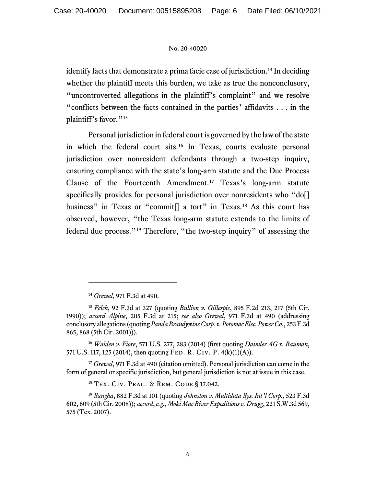identify facts that demonstrate a prima facie case of jurisdiction.<sup>[14](#page-5-0)</sup> In deciding whether the plaintiff meets this burden, we take as true the nonconclusory, "uncontroverted allegations in the plaintiff's complaint" and we resolve "conflicts between the facts contained in the parties' affidavits . . . in the plaintiff's favor."<sup>[15](#page-5-1)</sup>

Personal jurisdiction in federal court is governed by the law of the state in which the federal court sits.[16](#page-5-2) In Texas, courts evaluate personal jurisdiction over nonresident defendants through a two-step inquiry, ensuring compliance with the state's long-arm statute and the Due Process Clause of the Fourteenth Amendment.[17](#page-5-3) Texas's long-arm statute specifically provides for personal jurisdiction over nonresidents who "do[] business" in Texas or "commit<sup>[]</sup> a tort" in Texas.<sup>[18](#page-5-4)</sup> As this court has observed, however, "the Texas long-arm statute extends to the limits of federal due process."[19](#page-5-5) Therefore, "the two-step inquiry" of assessing the

<span id="page-5-2"></span><sup>16</sup> *Walden v. Fiore*, 571 U.S. 277, 283 (2014) (first quoting *Daimler AG v. Bauman*, 571 U.S. 117, 125 (2014), then quoting Fed. R. Civ. P. 4(k)(1)(A)).

<span id="page-5-3"></span><sup>17</sup> *Grewal*, 971 F.3d at 490 (citation omitted). Personal jurisdiction can come in the form of general or specific jurisdiction, but general jurisdiction is not at issue in this case.

<sup>18</sup> Tex. Civ. Prac. & Rem. Code § 17.042.

<span id="page-5-5"></span><span id="page-5-4"></span><sup>19</sup> *Sangha*, 882 F.3d at 101 (quoting *Johnston v. Multidata Sys. Int'l Corp.*, 523 F.3d 602, 609 (5th Cir. 2008)); *accord*, *e.g.*, *Moki Mac River Expeditions v. Drugg*, 221 S.W.3d 569, 575 (Tex. 2007).

<sup>14</sup> *Grewal*, 971 F.3d at 490.

<span id="page-5-1"></span><span id="page-5-0"></span><sup>15</sup> *Felch*, 92 F.3d at 327 (quoting *Bullion v. Gillespie*, 895 F.2d 213, 217 (5th Cir. 1990)); *accord Alpine*, 205 F.3d at 215; *see also Grewal*, 971 F.3d at 490 (addressing conclusory allegations (quoting *Panda Brandywine Corp. v. Potomac Elec. Power Co.*, 253 F.3d 865, 868 (5th Cir. 2001))).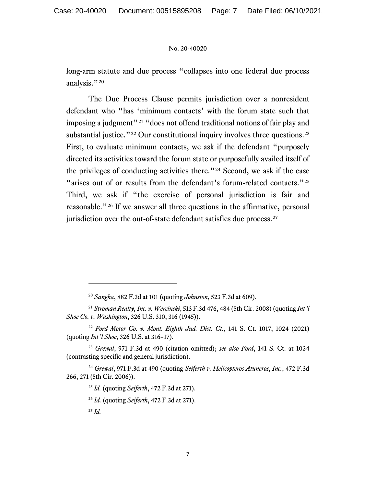long-arm statute and due process "collapses into one federal due process analysis."<sup>[20](#page-6-0)</sup>

The Due Process Clause permits jurisdiction over a nonresident defendant who "has 'minimum contacts' with the forum state such that imposing a judgment"<sup>[21](#page-6-1)</sup> "does not offend traditional notions of fair play and substantial justice." $^{22}$  $^{22}$  $^{22}$  Our constitutional inquiry involves three questions. $^{23}$  $^{23}$  $^{23}$ First, to evaluate minimum contacts, we ask if the defendant "purposely directed its activities toward the forum state or purposefully availed itself of the privileges of conducting activities there."[24](#page-6-4) Second, we ask if the case "arises out of or results from the defendant's forum-related contacts."<sup>[25](#page-6-5)</sup> Third, we ask if "the exercise of personal jurisdiction is fair and reasonable."[26](#page-6-6) If we answer all three questions in the affirmative, personal jurisdiction over the out-of-state defendant satisfies due process.<sup>[27](#page-6-7)</sup>

<sup>20</sup> *Sangha*, 882 F.3d at 101 (quoting *Johnston*, 523 F.3d at 609).

<span id="page-6-1"></span><span id="page-6-0"></span><sup>21</sup> *Stroman Realty, Inc. v. Wercinski*, 513 F.3d 476, 484 (5th Cir. 2008) (quoting *Int'l Shoe Co. v. Washington*, 326 U.S. 310, 316 (1945)).

<span id="page-6-2"></span><sup>22</sup> *Ford Motor Co. v. Mont. Eighth Jud. Dist. Ct.*, 141 S. Ct. 1017, 1024 (2021) (quoting *Int'l Shoe*, 326 U.S. at 316–17).

<span id="page-6-3"></span><sup>23</sup> *Grewal*, 971 F.3d at 490 (citation omitted); *see also Ford*, 141 S. Ct. at 1024 (contrasting specific and general jurisdiction).

<span id="page-6-7"></span><span id="page-6-6"></span><span id="page-6-5"></span><span id="page-6-4"></span><sup>24</sup> *Grewal*, 971 F.3d at 490 (quoting *Seiferth v. Helicopteros Atuneros, Inc.*, 472 F.3d 266, 271 (5th Cir. 2006)).

<sup>25</sup> *Id.* (quoting *Seiferth*, 472 F.3d at 271).

<sup>26</sup> *Id.* (quoting *Seiferth*, 472 F.3d at 271).

<sup>27</sup> *Id.*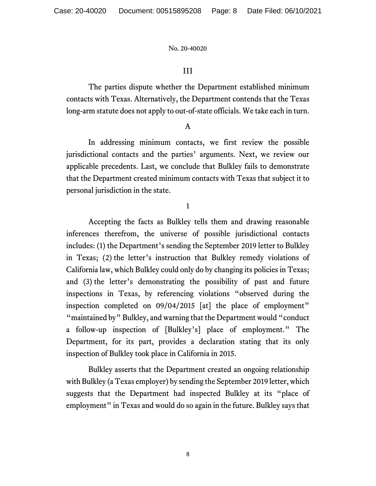## III

The parties dispute whether the Department established minimum contacts with Texas. Alternatively, the Department contends that the Texas long-arm statute does not apply to out-of-state officials. We take each in turn.

## A

In addressing minimum contacts, we first review the possible jurisdictional contacts and the parties' arguments. Next, we review our applicable precedents. Last, we conclude that Bulkley fails to demonstrate that the Department created minimum contacts with Texas that subject it to personal jurisdiction in the state.

1

Accepting the facts as Bulkley tells them and drawing reasonable inferences therefrom, the universe of possible jurisdictional contacts includes: (1) the Department's sending the September 2019 letter to Bulkley in Texas; (2) the letter's instruction that Bulkley remedy violations of California law, which Bulkley could only do by changing its policies in Texas; and (3) the letter's demonstrating the possibility of past and future inspections in Texas, by referencing violations "observed during the inspection completed on 09/04/2015 [at] the place of employment" "maintained by" Bulkley, and warning that the Department would "conduct a follow-up inspection of [Bulkley's] place of employment." The Department, for its part, provides a declaration stating that its only inspection of Bulkley took place in California in 2015.

Bulkley asserts that the Department created an ongoing relationship with Bulkley (a Texas employer) by sending the September 2019 letter, which suggests that the Department had inspected Bulkley at its "place of employment" in Texas and would do so again in the future. Bulkley says that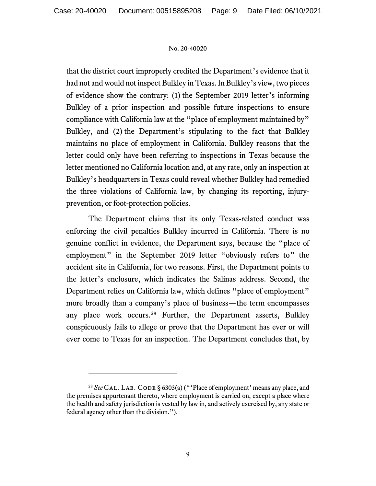that the district court improperly credited the Department's evidence that it had not and would not inspect Bulkley in Texas. In Bulkley's view, two pieces of evidence show the contrary: (1) the September 2019 letter's informing Bulkley of a prior inspection and possible future inspections to ensure compliance with California law at the "place of employment maintained by" Bulkley, and (2) the Department's stipulating to the fact that Bulkley maintains no place of employment in California. Bulkley reasons that the letter could only have been referring to inspections in Texas because the letter mentioned no California location and, at any rate, only an inspection at Bulkley's headquarters in Texas could reveal whether Bulkley had remedied the three violations of California law, by changing its reporting, injuryprevention, or foot-protection policies.

The Department claims that its only Texas-related conduct was enforcing the civil penalties Bulkley incurred in California. There is no genuine conflict in evidence, the Department says, because the "place of employment" in the September 2019 letter "obviously refers to" the accident site in California, for two reasons. First, the Department points to the letter's enclosure, which indicates the Salinas address. Second, the Department relies on California law, which defines "place of employment" more broadly than a company's place of business—the term encompasses any place work occurs. [28](#page-8-0) Further, the Department asserts, Bulkley conspicuously fails to allege or prove that the Department has ever or will ever come to Texas for an inspection. The Department concludes that, by

<span id="page-8-0"></span><sup>&</sup>lt;sup>28</sup> See CAL. LAB. CODE § 6303(a) ("'Place of employment' means any place, and the premises appurtenant thereto, where employment is carried on, except a place where the health and safety jurisdiction is vested by law in, and actively exercised by, any state or federal agency other than the division.").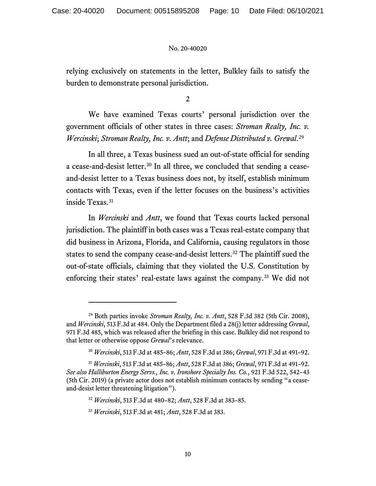relying exclusively on statements in the letter, Bulkley fails to satisfy the burden to demonstrate personal jurisdiction.

2

We have examined Texas courts' personal jurisdiction over the government officials of other states in three cases: *Stroman Realty, Inc. v. Wercinski*; *Stroman Realty, Inc. v. Antt*; and *Defense Distributed v. Grewal*. [29](#page-9-0)

In all three, a Texas business sued an out-of-state official for sending a cease-and-desist letter.<sup>[30](#page-9-1)</sup> In all three, we concluded that sending a ceaseand-desist letter to a Texas business does not, by itself, establish minimum contacts with Texas, even if the letter focuses on the business's activities inside Texas.<sup>[31](#page-9-2)</sup>

In *Wercinski* and *Antt*, we found that Texas courts lacked personal jurisdiction. The plaintiff in both cases was a Texas real-estate company that did business in Arizona, Florida, and California, causing regulators in those states to send the company cease-and-desist letters. [32](#page-9-3) The plaintiff sued the out-of-state officials, claiming that they violated the U.S. Constitution by enforcing their states' real-estate laws against the company. [33](#page-9-4) We did not

<span id="page-9-0"></span><sup>29</sup> Both parties invoke *Stroman Realty, Inc. v. Antt*, 528 F.3d 382 (5th Cir. 2008), and *Wercinski*, 513 F.3d at 484. Only the Department filed a 28(j) letter addressing *Grewal*, 971 F.3d 485, which was released after the briefing in this case. Bulkley did not respond to that letter or otherwise oppose *Grewal*'s relevance.

<sup>30</sup> *Wercinski*, 513 F.3d at 485–86; *Antt*, 528 F.3d at 386; *Grewal*, 971 F.3d at 491–92.

<span id="page-9-4"></span><span id="page-9-3"></span><span id="page-9-2"></span><span id="page-9-1"></span><sup>31</sup> *Wercinski*, 513 F.3d at 485–86; *Antt*, 528 F.3d at 386; *Grewal*, 971 F.3d at 491–92. *See also Halliburton Energy Servs., Inc. v. Ironshore Specialty Ins. Co.*, 921 F.3d 522, 542–43 (5th Cir. 2019) (a private actor does not establish minimum contacts by sending "a ceaseand-desist letter threatening litigation").

<sup>32</sup> *Wercinski*, 513 F.3d at 480–82; *Antt*, 528 F.3d at 383–85.

<sup>33</sup> *Wercinski*, 513 F.3d at 481; *Antt*, 528 F.3d at 383.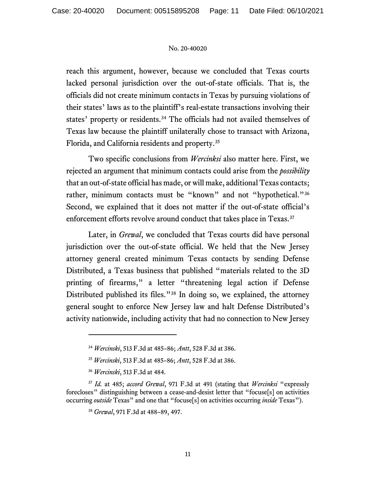reach this argument, however, because we concluded that Texas courts lacked personal jurisdiction over the out-of-state officials. That is, the officials did not create minimum contacts in Texas by pursuing violations of their states' laws as to the plaintiff's real-estate transactions involving their states' property or residents.<sup>[34](#page-10-0)</sup> The officials had not availed themselves of Texas law because the plaintiff unilaterally chose to transact with Arizona, Florida, and California residents and property. [35](#page-10-1)

Two specific conclusions from *Wercinksi* also matter here. First, we rejected an argument that minimum contacts could arise from the *possibility* that an out-of-state official has made, or will make, additional Texas contacts; rather, minimum contacts must be "known" and not "hypothetical."<sup>[36](#page-10-2)</sup> Second, we explained that it does not matter if the out-of-state official's enforcement efforts revolve around conduct that takes place in Texas.<sup>[37](#page-10-3)</sup>

Later, in *Grewal*, we concluded that Texas courts did have personal jurisdiction over the out-of-state official. We held that the New Jersey attorney general created minimum Texas contacts by sending Defense Distributed, a Texas business that published "materials related to the 3D printing of firearms," a letter "threatening legal action if Defense Distributed published its files."<sup>[38](#page-10-4)</sup> In doing so, we explained, the attorney general sought to enforce New Jersey law and halt Defense Distributed's activity nationwide, including activity that had no connection to New Jersey

<sup>34</sup> *Wercinski*, 513 F.3d at 485–86; *Antt*, 528 F.3d at 386.

<sup>35</sup> *Wercinski*, 513 F.3d at 485–86; *Antt*, 528 F.3d at 386.

<sup>36</sup> *Wercinski*, 513 F.3d at 484.

<span id="page-10-4"></span><span id="page-10-3"></span><span id="page-10-2"></span><span id="page-10-1"></span><span id="page-10-0"></span><sup>37</sup> *Id.* at 485; *accord Grewal*, 971 F.3d at 491 (stating that *Wercinksi* "expressly forecloses" distinguishing between a cease-and-desist letter that "focuse[s] on activities occurring *outside* Texas" and one that "focuse[s] on activities occurring *inside* Texas").

<sup>38</sup> *Grewal*, 971 F.3d at 488–89, 497.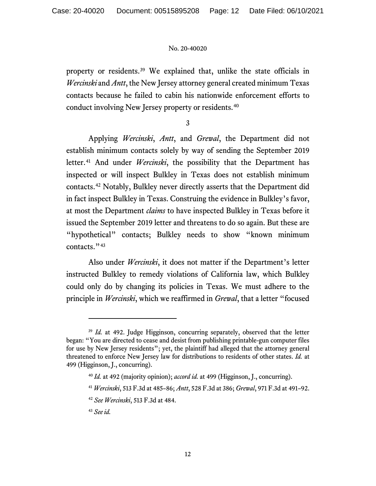property or residents.[39](#page-11-0) We explained that, unlike the state officials in *Wercinski* and *Antt*, the New Jersey attorney general created minimum Texas contacts because he failed to cabin his nationwide enforcement efforts to conduct involving New Jersey property or residents. [40](#page-11-1)

3

Applying *Wercinski*, *Antt*, and *Grewal*, the Department did not establish minimum contacts solely by way of sending the September 2019 letter.<sup>[41](#page-11-2)</sup> And under *Wercinski*, the possibility that the Department has inspected or will inspect Bulkley in Texas does not establish minimum contacts.[42](#page-11-3) Notably, Bulkley never directly asserts that the Department did in fact inspect Bulkley in Texas. Construing the evidence in Bulkley's favor, at most the Department *claims* to have inspected Bulkley in Texas before it issued the September 2019 letter and threatens to do so again. But these are "hypothetical" contacts; Bulkley needs to show "known minimum contacts."<sup>[43](#page-11-4)</sup>

Also under *Wercinski*, it does not matter if the Department's letter instructed Bulkley to remedy violations of California law, which Bulkley could only do by changing its policies in Texas. We must adhere to the principle in *Wercinski*, which we reaffirmed in *Grewal*, that a letter "focused

<span id="page-11-2"></span><span id="page-11-1"></span><span id="page-11-0"></span><sup>&</sup>lt;sup>39</sup> *Id.* at 492. Judge Higginson, concurring separately, observed that the letter began: "You are directed to cease and desist from publishing printable-gun computer files for use by New Jersey residents"; yet, the plaintiff had alleged that the attorney general threatened to enforce New Jersey law for distributions to residents of other states. *Id.* at 499 (Higginson, J., concurring).

<sup>40</sup> *Id.* at 492 (majority opinion); *accord id.* at 499 (Higginson, J., concurring).

<sup>41</sup> *Wercinski*, 513 F.3d at 485–86; *Antt*, 528 F.3d at 386; *Grewal*, 971 F.3d at 491–92.

<span id="page-11-3"></span><sup>42</sup> *See Wercinski*, 513 F.3d at 484.

<span id="page-11-4"></span><sup>43</sup> *See id.*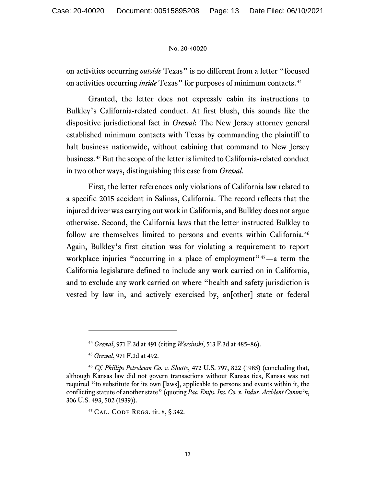on activities occurring *outside* Texas" is no different from a letter "focused on activities occurring *inside* Texas" for purposes of minimum contacts.<sup>[44](#page-12-0)</sup>

Granted, the letter does not expressly cabin its instructions to Bulkley's California-related conduct. At first blush, this sounds like the dispositive jurisdictional fact in *Grewal*: The New Jersey attorney general established minimum contacts with Texas by commanding the plaintiff to halt business nationwide, without cabining that command to New Jersey business. [45](#page-12-1) But the scope of the letter is limited to California-related conduct in two other ways, distinguishing this case from *Grewal*.

First, the letter references only violations of California law related to a specific 2015 accident in Salinas, California. The record reflects that the injured driver was carrying out work in California, and Bulkley does not argue otherwise. Second, the California laws that the letter instructed Bulkley to follow are themselves limited to persons and events within California.<sup>[46](#page-12-2)</sup> Again, Bulkley's first citation was for violating a requirement to report workplace injuries "occurring in a place of employment" $47 - a$  term the California legislature defined to include any work carried on in California, and to exclude any work carried on where "health and safety jurisdiction is vested by law in, and actively exercised by, an[other] state or federal

<sup>44</sup> *Grewal*, 971 F.3d at 491 (citing *Wercinski*, 513 F.3d at 485–86).

<sup>45</sup> *Grewal*, 971 F.3d at 492.

<span id="page-12-3"></span><span id="page-12-2"></span><span id="page-12-1"></span><span id="page-12-0"></span><sup>46</sup> *Cf. Phillips Petroleum Co. v. Shutts*, 472 U.S. 797, 822 (1985) (concluding that, although Kansas law did not govern transactions without Kansas ties, Kansas was not required "to substitute for its own [laws], applicable to persons and events within it, the conflicting statute of another state" (quoting *Pac. Emps. Ins. Co. v. Indus. Accident Comm'n*, 306 U.S. 493, 502 (1939)).

<sup>47</sup> Cal. Code Regs. tit. 8, § 342.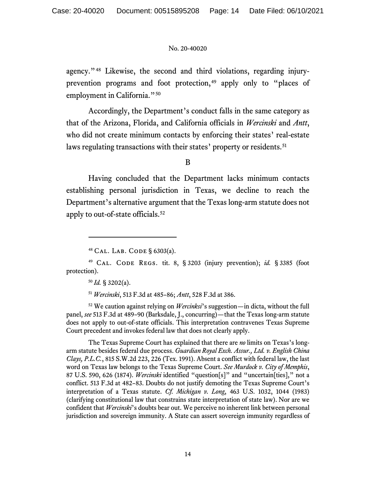agency."[48](#page-13-0) Likewise, the second and third violations, regarding injury-prevention programs and foot protection,<sup>[49](#page-13-1)</sup> apply only to "places of employment in California."<sup>[50](#page-13-2)</sup>

Accordingly, the Department's conduct falls in the same category as that of the Arizona, Florida, and California officials in *Wercinski* and *Antt*, who did not create minimum contacts by enforcing their states' real-estate laws regulating transactions with their states' property or residents.<sup>[51](#page-13-3)</sup>

B

Having concluded that the Department lacks minimum contacts establishing personal jurisdiction in Texas, we decline to reach the Department's alternative argument that the Texas long-arm statute does not apply to out-of-state officials.[52](#page-13-4)

<sup>48</sup> Cal. Lab. Code § 6303(a).

<span id="page-13-2"></span><span id="page-13-1"></span><span id="page-13-0"></span><sup>49</sup> Cal. Code Regs. tit. 8, § 3203 (injury prevention); *id.* § 3385 (foot protection).

<sup>51</sup> *Wercinski*, 513 F.3d at 485–86; *Antt*, 528 F.3d at 386.

<span id="page-13-4"></span><span id="page-13-3"></span><sup>52</sup> We caution against relying on *Wercinksi*'s suggestion—in dicta, without the full panel, *see* 513 F.3d at 489–90 (Barksdale, J., concurring)—that the Texas long-arm statute does not apply to out-of-state officials. This interpretation contravenes Texas Supreme Court precedent and invokes federal law that does not clearly apply.

The Texas Supreme Court has explained that there are *no* limits on Texas's longarm statute besides federal due process. *Guardian Royal Exch. Assur., Ltd. v. English China Clays, P.L.C.*, 815 S.W.2d 223, 226 (Tex. 1991). Absent a conflict with federal law, the last word on Texas law belongs to the Texas Supreme Court. *See Murdock v. City of Memphis*, 87 U.S. 590, 626 (1874). *Wercinski* identified "question[s]" and "uncertain[ties]," not a conflict. 513 F.3d at 482–83. Doubts do not justify demoting the Texas Supreme Court's interpretation of a Texas statute. *Cf. Michigan v. Long*, 463 U.S. 1032, 1044 (1983) (clarifying constitutional law that constrains state interpretation of state law). Nor are we confident that *Wercinski*'s doubts bear out. We perceive no inherent link between personal jurisdiction and sovereign immunity. A State can assert sovereign immunity regardless of

 $^{50}$  *Id.* § 3202(a).